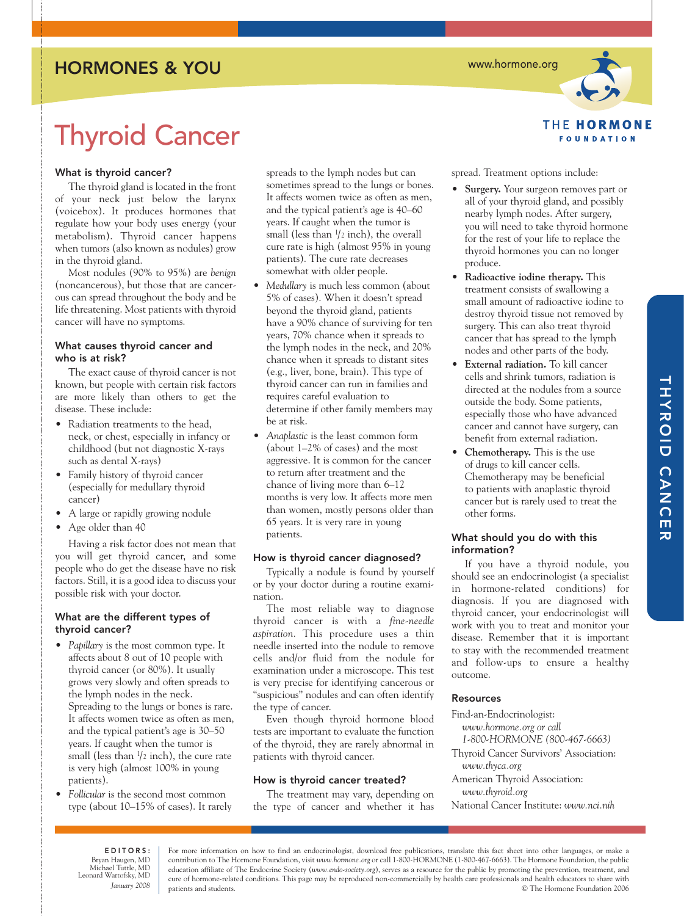## HORMONES & YOU

Thyroid Cancer

### What is thyroid cancer?

The thyroid gland is located in the front of your neck just below the larynx (voicebox). It produces hormones that regulate how your body uses energy (your metabolism). Thyroid cancer happens when tumors (also known as nodules) grow in the thyroid gland.

Most nodules (90% to 95%) are *benign* (noncancerous), but those that are cancerous can spread throughout the body and be life threatening. Most patients with thyroid cancer will have no symptoms.

### What causes thyroid cancer and who is at risk?

The exact cause of thyroid cancer is not known, but people with certain risk factors are more likely than others to get the disease. These include:

- Radiation treatments to the head, neck, or chest, especially in infancy or childhood (but not diagnostic X-rays such as dental X-rays)
- Family history of thyroid cancer (especially for medullary thyroid cancer)
- A large or rapidly growing nodule
- Age older than 40

Having a risk factor does not mean that you will get thyroid cancer, and some people who do get the disease have no risk factors. Still, it is a good idea to discuss your possible risk with your doctor.

### What are the different types of thyroid cancer?

- *Papillary* is the most common type. It affects about 8 out of 10 people with thyroid cancer (or 80%). It usually grows very slowly and often spreads to the lymph nodes in the neck. Spreading to the lungs or bones is rare. It affects women twice as often as men, and the typical patient's age is 30–50 years. If caught when the tumor is small (less than 1 /2 inch), the cure rate is very high (almost 100% in young patients).
- *Follicular* is the second most common type (about 10–15% of cases). It rarely

spreads to the lymph nodes but can sometimes spread to the lungs or bones. It affects women twice as often as men, and the typical patient's age is 40–60 years. If caught when the tumor is small (less than 1 /2 inch), the overall cure rate is high (almost 95% in young patients). The cure rate decreases somewhat with older people.

- *Medullary* is much less common (about 5% of cases). When it doesn't spread beyond the thyroid gland, patients have a 90% chance of surviving for ten years, 70% chance when it spreads to the lymph nodes in the neck, and 20% chance when it spreads to distant sites (e.g., liver, bone, brain). This type of thyroid cancer can run in families and requires careful evaluation to determine if other family members may be at risk.
- *Anaplastic* is the least common form (about 1–2% of cases) and the most aggressive. It is common for the cancer to return after treatment and the chance of living more than 6–12 months is very low. It affects more men than women, mostly persons older than 65 years. It is very rare in young patients.

### How is thyroid cancer diagnosed?

Typically a nodule is found by yourself or by your doctor during a routine examination.

The most reliable way to diagnose thyroid cancer is with a *fine-needle aspiration*. This procedure uses a thin needle inserted into the nodule to remove cells and/or fluid from the nodule for examination under a microscope. This test is very precise for identifying cancerous or "suspicious" nodules and can often identify the type of cancer.

Even though thyroid hormone blood tests are important to evaluate the function of the thyroid, they are rarely abnormal in patients with thyroid cancer.

### How is thyroid cancer treated?

The treatment may vary, depending on the type of cancer and whether it has spread. Treatment options include:

- **Surgery.** Your surgeon removes part or all of your thyroid gland, and possibly nearby lymph nodes. After surgery, you will need to take thyroid hormone for the rest of your life to replace the thyroid hormones you can no longer produce.
- **Radioactive iodine therapy.** This treatment consists of swallowing a small amount of radioactive iodine to destroy thyroid tissue not removed by surgery. This can also treat thyroid cancer that has spread to the lymph nodes and other parts of the body.
- **External radiation.** To kill cancer cells and shrink tumors, radiation is directed at the nodules from a source outside the body. Some patients, especially those who have advanced cancer and cannot have surgery, can benefit from external radiation.
- **Chemotherapy.** This is the use of drugs to kill cancer cells. Chemotherapy may be beneficial to patients with anaplastic thyroid cancer but is rarely used to treat the other forms.

### What should you do with this information?

If you have a thyroid nodule, you should see an endocrinologist (a specialist in hormone-related conditions) for diagnosis. If you are diagnosed with thyroid cancer, your endocrinologist will work with you to treat and monitor your disease. Remember that it is important to stay with the recommended treatment and follow-ups to ensure a healthy outcome.

### **Resources**

Find-an-Endocrinologist: *www.hormone.org or call 1-800-HORMONE (800-467-6663)* Thyroid Cancer Survivors' Association: *www.thyca.org*  American Thyroid Association: *www.thyroid.org* National Cancer Institute: *www.nci.nih* 

EDITORS: Bryan Haugen, MD Michael Tuttle, MD Leonard Wartofsky, MD *January 2008*

For more information on how to find an endocrinologist, download free publications, translate this fact sheet into other languages, or make a contribution to The Hormone Foundation, visit *www.hormone.org* or call 1-800-HORMONE (1-800-467-6663). The Hormone Foundation, the public education affiliate of The Endocrine Society (*www.endo-society.org*), serves as a resource for the public by promoting the prevention, treatment, and cure of hormone-related conditions. This page may be reproduced non-commercially by health care professionals and health educators to share with patients and students. © The Hormone Foundation 2006